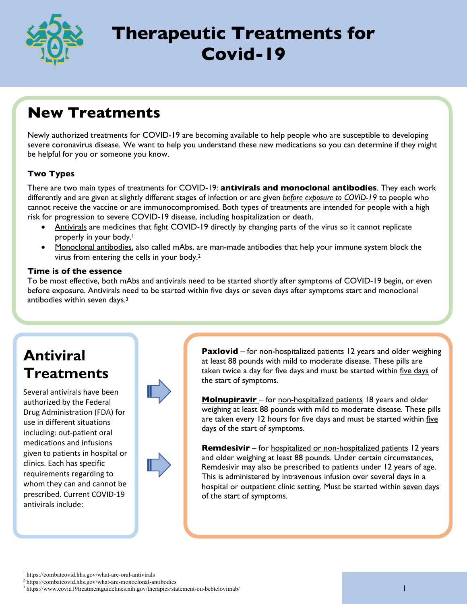

# **Therapeutic Treatments for Covid-19**

## **New Treatments**

Newly authorized treatments for COVID-19 are becoming available to help people who are susceptible to developing severe coronavirus disease. We want to help you understand these new medications so you can determine if they might be helpful for you or someone you know.

### **Two Types**

There are two main types of treatments for COVID-19: **antivirals and monoclonal antibodies**. They each work differently and are given at slightly different stages of infection or are given *before exposure to COVID-19* to people who cannot receive the vaccine or are immunocompromised. Both types of treatments are intended for people with a high risk for progression to severe COVID-19 disease, including hospitalization or death.

- Antivirals are medicines that fight COVID-19 directly by changing parts of the virus so it cannot replicate properly in your body.<sup>1</sup>
- Monoclonal antibodies, also called mAbs, are man-made antibodies that help your immune system block the virus from entering the cells in your body.2

### **Time is of the essence**

To be most effective, both mAbs and antivirals need to be started shortly after symptoms of COVID-19 begin, or even before exposure. Antivirals need to be started within five days or seven days after symptoms start and monoclonal antibodies within seven days.3

## **Antiviral Treatments**

Several antivirals have been authorized by the Federal Drug Administration (FDA) for use in different situations including: out-patient oral medications and infusions given to patients in hospital or clinics. Each has specific requirements regarding to whom they can and cannot be prescribed. Current COVID-19 antivirals include:



**Paxlovid** – for non-hospitalized patients 12 years and older weighing at least 88 pounds with mild to moderate disease. These pills are taken twice a day for five days and must be started within five days of the start of symptoms.

**Molnupiravir** – for non-hospitalized patients 18 years and older weighing at least 88 pounds with mild to moderate disease. These pills are taken every 12 hours for five days and must be started within five days of the start of symptoms.

**Remdesivir** – for hospitalized or non-hospitalized patients 12 years and older weighing at least 88 pounds. Under certain circumstances, Remdesivir may also be prescribed to patients under 12 years of age. This is administered by intravenous infusion over several days in a hospital or outpatient clinic setting. Must be started within seven days of the start of symptoms.

<sup>1</sup> https://combatcovid.hhs.gov/what-are-oral-antivirals

<sup>2</sup> https://combatcovid.hhs.gov/what-are-monoclonal-antibodies

<sup>3</sup> https://www.covid19treatmentguidelines.nih.gov/therapies/statement-on-bebtelovimab/ I